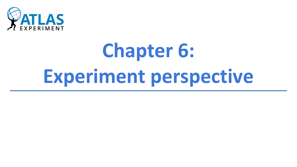

# **Chapter 6: Experiment perspective**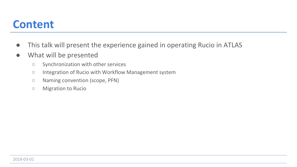#### **Content**

- **●** This talk will present the experience gained in operating Rucio in ATLAS
- **●** What will be presented
	- **○** Synchronization with other services
	- **○** Integration of Rucio with Workflow Management system
	- **○** Naming convention (scope, PFN)
	- **○** Migration to Rucio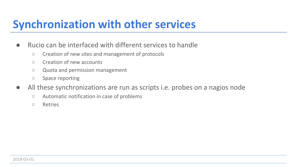### **Synchronization with other services**

- **●** Rucio can be interfaced with different services to handle
	- **○** Creation of new sites and management of protocols
	- **○** Creation of new accounts
	- **○** Quota and permission management
	- **○** Space reporting
- **●** All these synchronizations are run as scripts i.e. probes on a nagios node
	- **○** Automatic notification in case of problems
	- **○** Retries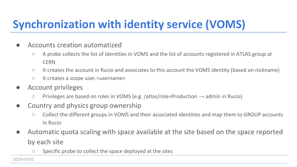# **Synchronization with identity service (VOMS)**

- **●** Accounts creation automatized
	- **○** A probe collects the list of identities in VOMS and the list of accounts registered in ATLAS group at **CERN**
	- **○** It creates the account in Rucio and associates to this account the VOMS identity (based on nickname)
	- **○** It creates a scope user.<username>
- **●** Account privileges
	- **○** Privileges are based on roles in VOMS (e.g. /atlas/role=Production → admin in Rucio)
- **●** Country and physics group ownership
	- **○** Collect the different groups in VOMS and their associated identities and map them to GROUP accounts in Rucio
- **●** Automatic quota scaling with space available at the site based on the space reported by each site
	- **○** Specific probe to collect the space deployed at the sites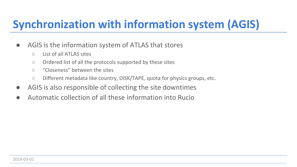## **Synchronization with information system (AGIS)**

- **●** AGIS is the information system of ATLAS that stores
	- **○** List of all ATLAS sites
	- **○** Ordered list of all the protocols supported by these sites
	- **○** "Closeness" between the sites
	- **○** Different metadata like country, DISK/TAPE, quota for physics groups, etc.
- **●** AGIS is also responsible of collecting the site downtimes
- **●** Automatic collection of all these information into Rucio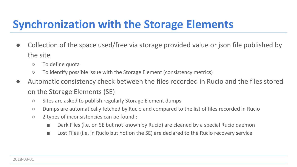## **Synchronization with the Storage Elements**

- **●** Collection of the space used/free via storage provided value or json file published by the site
	- **○** To define quota
	- **○** To identify possible issue with the Storage Element (consistency metrics)
- **●** Automatic consistency check between the files recorded in Rucio and the files stored on the Storage Elements (SE)
	- **○** Sites are asked to publish regularly Storage Element dumps
	- **○** Dumps are automatically fetched by Rucio and compared to the list of files recorded in Rucio
	- **○** 2 types of inconsistencies can be found :
		- Dark Files (i.e. on SE but not known by Rucio) are cleaned by a special Rucio daemon
		- Lost Files (i.e. in Rucio but not on the SE) are declared to the Rucio recovery service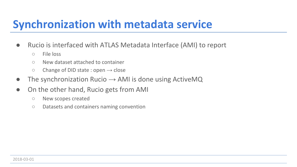## **Synchronization with metadata service**

- **●** Rucio is interfaced with ATLAS Metadata Interface (AMI) to report
	- **○** File loss
	- **○** New dataset attached to container
	- **○** Change of DID state : open → close
- **●** The synchronization Rucio → AMI is done using ActiveMQ
- **●** On the other hand, Rucio gets from AMI
	- **○** New scopes created
	- **○** Datasets and containers naming convention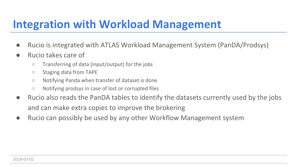## **Integration with Workload Management**

- **●** Rucio is integrated with ATLAS Workload Management System (PanDA/Prodsys)
- **●** Rucio takes care of
	- **○** Transferring of data (input/output) for the jobs
	- **○** Staging data from TAPE
	- **○** Notifying Panda when transfer of dataset is done
	- **○** Notifying prodsys in case of lost or corrupted files
- **●** Rucio also reads the PanDA tables to identify the datasets currently used by the jobs and can make extra copies to improve the brokering
- **●** Rucio can possibly be used by any other Workflow Management system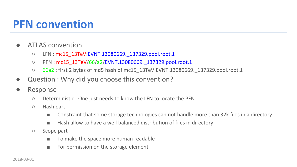### **PFN convention**

- **●** ATLAS convention
	- LFN : mc15\_13TeV:EVNT.13080669. 137329.pool.root.1
	- **○** PFN : mc15\_13TeV/66/a2/EVNT.13080669.\_137329.pool.root.1
	- **○** 66a2 : first 2 bytes of md5 hash of mc15\_13TeV:EVNT.13080669.\_137329.pool.root.1
- **Question : Why did you choose this convention?**
- **●** Response
	- **○** Deterministic : One just needs to know the LFN to locate the PFN
	- **○** Hash part
		- Constraint that some storage technologies can not handle more than 32k files in a directory
		- Hash allow to have a well balanced distribution of files in directory
	- **○** Scope part
		- **■** To make the space more human readable
		- For permission on the storage element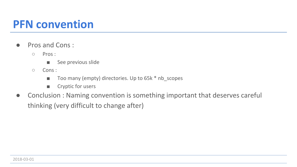#### **PFN convention**

- **●** Pros and Cons :
	- **○** Pros :
		- See previous slide
	- **○** Cons :
		- Too many (empty) directories. Up to 65k <sup>\*</sup> nb scopes
		- **■** Cryptic for users
- **●** Conclusion : Naming convention is something important that deserves careful thinking (very difficult to change after)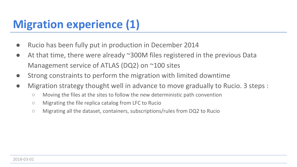## **Migration experience (1)**

- **●** Rucio has been fully put in production in December 2014
- **●** At that time, there were already ~300M files registered in the previous Data Management service of ATLAS (DQ2) on ~100 sites
- **●** Strong constraints to perform the migration with limited downtime
- **●** Migration strategy thought well in advance to move gradually to Rucio. 3 steps :
	- **○** Moving the files at the sites to follow the new deterministic path convention
	- **○** Migrating the file replica catalog from LFC to Rucio
	- **○** Migrating all the dataset, containers, subscriptions/rules from DQ2 to Rucio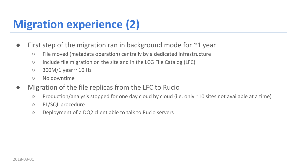# **Migration experience (2)**

- **●** First step of the migration ran in background mode for ~1 year
	- **○** File moved (metadata operation) centrally by a dedicated infrastructure
	- **○** Include file migration on the site and in the LCG File Catalog (LFC)
	- **○** 300M/1 year ~ 10 Hz
	- **○** No downtime
- **●** Migration of the file replicas from the LFC to Rucio
	- **○** Production/analysis stopped for one day cloud by cloud (i.e. only ~10 sites not available at a time)
	- **○** PL/SQL procedure
	- **○** Deployment of a DQ2 client able to talk to Rucio servers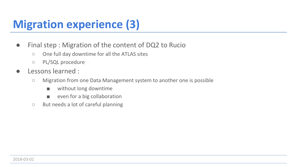# **Migration experience (3)**

- **●** Final step : Migration of the content of DQ2 to Rucio
	- **○** One full day downtime for all the ATLAS sites
	- **○** PL/SQL procedure
- **●** Lessons learned :
	- **○** Migration from one Data Management system to another one is possible
		- without long downtime
		- **■** even for a big collaboration
	- **○** But needs a lot of careful planning